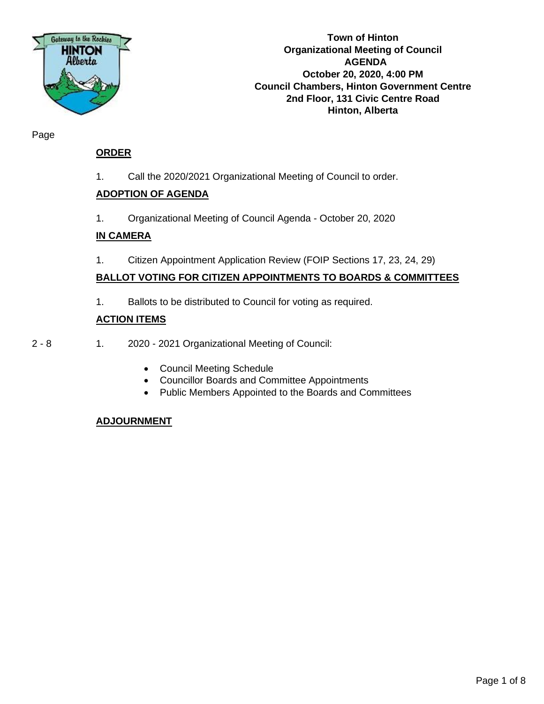

**Town of Hinton Organizational Meeting of Council AGENDA October 20, 2020, 4:00 PM Council Chambers, Hinton Government Centre 2nd Floor, 131 Civic Centre Road Hinton, Alberta**

Page

### **ORDER**

1. Call the 2020/2021 Organizational Meeting of Council to order.

### **ADOPTION OF AGENDA**

1. Organizational Meeting of Council Agenda - October 20, 2020

### **IN CAMERA**

1. Citizen Appointment Application Review (FOIP Sections 17, 23, 24, 29)

### **BALLOT VOTING FOR CITIZEN APPOINTMENTS TO BOARDS & COMMITTEES**

1. Ballots to be distributed to Council for voting as required.

### **ACTION ITEMS**

- 2 8 1. 2020 2021 Organizational Meeting of Council:
	- Council Meeting Schedule
	- Councillor Boards and Committee Appointments
	- Public Members Appointed to the Boards and Committees

### **ADJOURNMENT**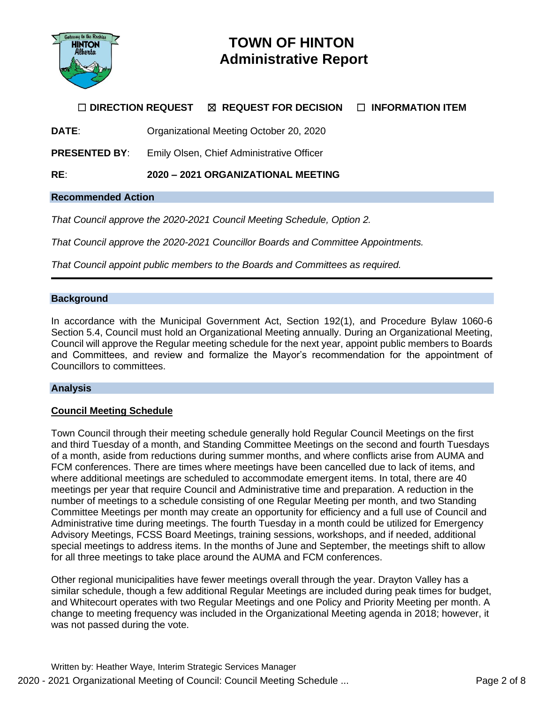

## **TOWN OF HINTON Administrative Report**

### ☐ **DIRECTION REQUEST** ☒ **REQUEST FOR DECISION** ☐ **INFORMATION ITEM**

**DATE**: Organizational Meeting October 20, 2020

**PRESENTED BY**: Emily Olsen, Chief Administrative Officer

**RE**: **2020 – 2021 ORGANIZATIONAL MEETING**

### **Recommended Action**

*That Council approve the 2020-2021 Council Meeting Schedule, Option 2.*

*That Council approve the 2020-2021 Councillor Boards and Committee Appointments.*

*That Council appoint public members to the Boards and Committees as required.*

### **Background**

In accordance with the Municipal Government Act, Section 192(1), and Procedure Bylaw 1060-6 Section 5.4, Council must hold an Organizational Meeting annually. During an Organizational Meeting, Council will approve the Regular meeting schedule for the next year, appoint public members to Boards and Committees, and review and formalize the Mayor's recommendation for the appointment of Councillors to committees.

### **Analysis**

### **Council Meeting Schedule**

Town Council through their meeting schedule generally hold Regular Council Meetings on the first and third Tuesday of a month, and Standing Committee Meetings on the second and fourth Tuesdays of a month, aside from reductions during summer months, and where conflicts arise from AUMA and FCM conferences. There are times where meetings have been cancelled due to lack of items, and where additional meetings are scheduled to accommodate emergent items. In total, there are 40 meetings per year that require Council and Administrative time and preparation. A reduction in the number of meetings to a schedule consisting of one Regular Meeting per month, and two Standing Committee Meetings per month may create an opportunity for efficiency and a full use of Council and Administrative time during meetings. The fourth Tuesday in a month could be utilized for Emergency Advisory Meetings, FCSS Board Meetings, training sessions, workshops, and if needed, additional special meetings to address items. In the months of June and September, the meetings shift to allow for all three meetings to take place around the AUMA and FCM conferences.

Other regional municipalities have fewer meetings overall through the year. Drayton Valley has a similar schedule, though a few additional Regular Meetings are included during peak times for budget, and Whitecourt operates with two Regular Meetings and one Policy and Priority Meeting per month. A change to meeting frequency was included in the Organizational Meeting agenda in 2018; however, it was not passed during the vote.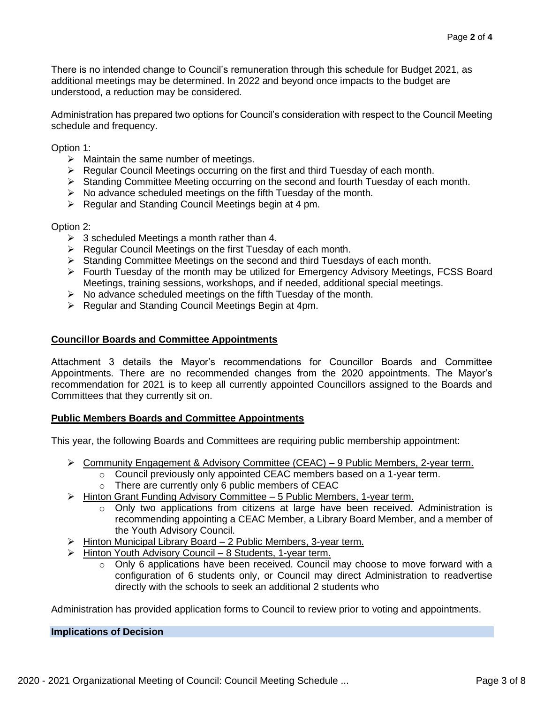There is no intended change to Council's remuneration through this schedule for Budget 2021, as additional meetings may be determined. In 2022 and beyond once impacts to the budget are understood, a reduction may be considered.

Administration has prepared two options for Council's consideration with respect to the Council Meeting schedule and frequency.

Option 1:

- $\triangleright$  Maintain the same number of meetings.
- ➢ Regular Council Meetings occurring on the first and third Tuesday of each month.
- ➢ Standing Committee Meeting occurring on the second and fourth Tuesday of each month.
- $\triangleright$  No advance scheduled meetings on the fifth Tuesday of the month.
- ➢ Regular and Standing Council Meetings begin at 4 pm.

Option 2:

- $\geq$  3 scheduled Meetings a month rather than 4.
- ➢ Regular Council Meetings on the first Tuesday of each month.
- ➢ Standing Committee Meetings on the second and third Tuesdays of each month.
- ➢ Fourth Tuesday of the month may be utilized for Emergency Advisory Meetings, FCSS Board Meetings, training sessions, workshops, and if needed, additional special meetings.
- ➢ No advance scheduled meetings on the fifth Tuesday of the month.
- ➢ Regular and Standing Council Meetings Begin at 4pm.

### **Councillor Boards and Committee Appointments**

Attachment 3 details the Mayor's recommendations for Councillor Boards and Committee Appointments. There are no recommended changes from the 2020 appointments. The Mayor's recommendation for 2021 is to keep all currently appointed Councillors assigned to the Boards and Committees that they currently sit on.

### **Public Members Boards and Committee Appointments**

This year, the following Boards and Committees are requiring public membership appointment:

- ➢ Community Engagement & Advisory Committee (CEAC) 9 Public Members, 2-year term.
	- o Council previously only appointed CEAC members based on a 1-year term.
	- $\circ$  There are currently only 6 public members of CEAC
- ➢ Hinton Grant Funding Advisory Committee 5 Public Members, 1-year term.
	- o Only two applications from citizens at large have been received. Administration is recommending appointing a CEAC Member, a Library Board Member, and a member of the Youth Advisory Council.
- ➢ Hinton Municipal Library Board 2 Public Members, 3-year term.
- ➢ Hinton Youth Advisory Council 8 Students, 1-year term.
	- o Only 6 applications have been received. Council may choose to move forward with a configuration of 6 students only, or Council may direct Administration to readvertise directly with the schools to seek an additional 2 students who

Administration has provided application forms to Council to review prior to voting and appointments.

### **Implications of Decision**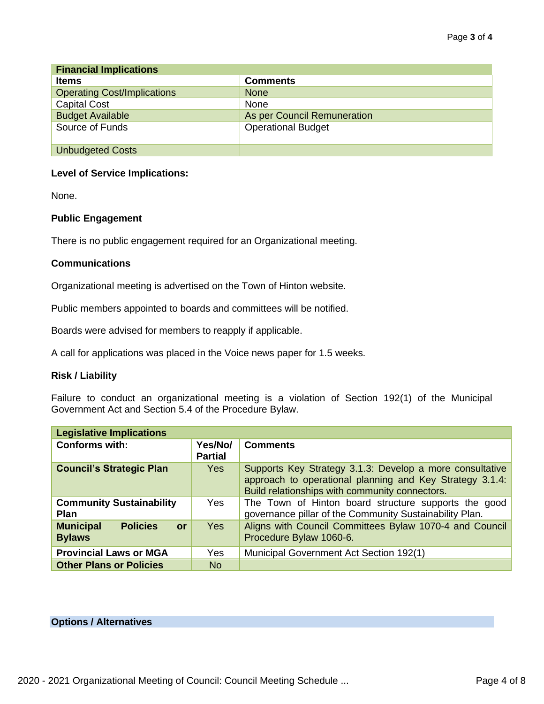| <b>Financial Implications</b>      |                             |  |  |  |  |
|------------------------------------|-----------------------------|--|--|--|--|
| <b>Items</b>                       | <b>Comments</b>             |  |  |  |  |
| <b>Operating Cost/Implications</b> | <b>None</b>                 |  |  |  |  |
| <b>Capital Cost</b>                | None                        |  |  |  |  |
| <b>Budget Available</b>            | As per Council Remuneration |  |  |  |  |
| Source of Funds                    | <b>Operational Budget</b>   |  |  |  |  |
| <b>Unbudgeted Costs</b>            |                             |  |  |  |  |

### **Level of Service Implications:**

None.

### **Public Engagement**

There is no public engagement required for an Organizational meeting.

### **Communications**

Organizational meeting is advertised on the Town of Hinton website.

Public members appointed to boards and committees will be notified.

Boards were advised for members to reapply if applicable.

A call for applications was placed in the Voice news paper for 1.5 weeks.

### **Risk / Liability**

Failure to conduct an organizational meeting is a violation of Section 192(1) of the Municipal Government Act and Section 5.4 of the Procedure Bylaw.

| <b>Legislative Implications</b>                            |                           |                                                                                                                                                                        |
|------------------------------------------------------------|---------------------------|------------------------------------------------------------------------------------------------------------------------------------------------------------------------|
| <b>Conforms with:</b>                                      | Yes/No/<br><b>Partial</b> | <b>Comments</b>                                                                                                                                                        |
| <b>Council's Strategic Plan</b>                            | <b>Yes</b>                | Supports Key Strategy 3.1.3: Develop a more consultative<br>approach to operational planning and Key Strategy 3.1.4:<br>Build relationships with community connectors. |
| <b>Community Sustainability</b><br><b>Plan</b>             | <b>Yes</b>                | The Town of Hinton board structure supports the good<br>governance pillar of the Community Sustainability Plan.                                                        |
| <b>Municipal</b><br><b>Policies</b><br>or<br><b>Bylaws</b> | <b>Yes</b>                | Aligns with Council Committees Bylaw 1070-4 and Council<br>Procedure Bylaw 1060-6.                                                                                     |
| <b>Provincial Laws or MGA</b>                              | <b>Yes</b>                | Municipal Government Act Section 192(1)                                                                                                                                |
| <b>Other Plans or Policies</b>                             | No.                       |                                                                                                                                                                        |

### **Options / Alternatives**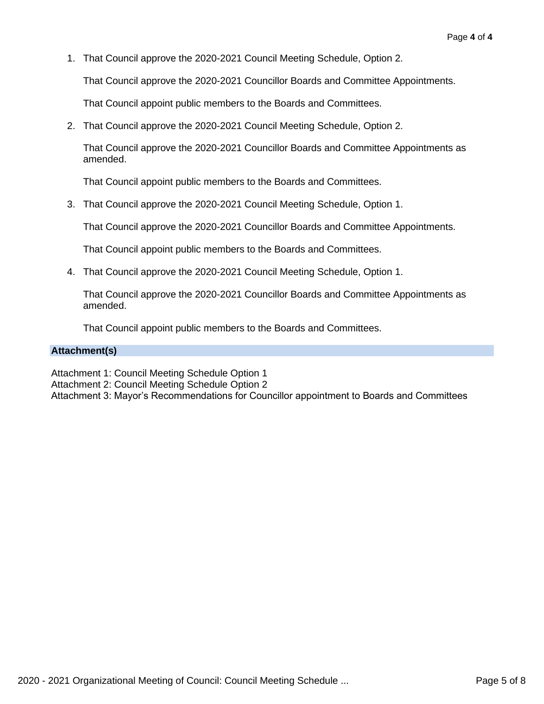1. That Council approve the 2020-2021 Council Meeting Schedule, Option 2.

That Council approve the 2020-2021 Councillor Boards and Committee Appointments.

That Council appoint public members to the Boards and Committees.

2. That Council approve the 2020-2021 Council Meeting Schedule, Option 2.

That Council approve the 2020-2021 Councillor Boards and Committee Appointments as amended.

That Council appoint public members to the Boards and Committees.

3. That Council approve the 2020-2021 Council Meeting Schedule, Option 1.

That Council approve the 2020-2021 Councillor Boards and Committee Appointments.

That Council appoint public members to the Boards and Committees.

4. That Council approve the 2020-2021 Council Meeting Schedule, Option 1.

That Council approve the 2020-2021 Councillor Boards and Committee Appointments as amended.

That Council appoint public members to the Boards and Committees.

### **Attachment(s)**

Attachment 1: Council Meeting Schedule Option 1

Attachment 2: Council Meeting Schedule Option 2

Attachment 3: Mayor's Recommendations for Councillor appointment to Boards and Committees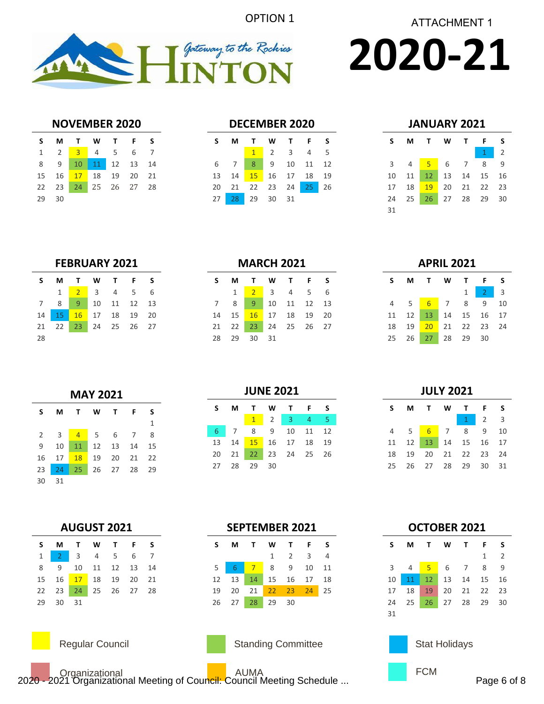



# **2020-21**

### **NOVEMBER 2020**

|    | S M T W T F S        |  |  |  |
|----|----------------------|--|--|--|
|    | 1 2 3 4 5 6 7        |  |  |  |
|    | 8 9 10 11 12 13 14   |  |  |  |
|    | 15 16 17 18 19 20 21 |  |  |  |
|    | 22 23 24 25 26 27 28 |  |  |  |
| 29 | 30                   |  |  |  |

### **DECEMBER 2020**

| S M T W T F S              |  |             |  |
|----------------------------|--|-------------|--|
|                            |  | $1$ 2 3 4 5 |  |
| 6 7 8 9 10 11 12           |  |             |  |
| 13  14  15  16  17  18  19 |  |             |  |
| 20 21 22 23 24 25 26       |  |             |  |
| 27 28 29 30 31             |  |             |  |

### **JANUARY 2021**

| S              | M              | $\mathbf{T}$   | WT F |              | S  |
|----------------|----------------|----------------|------|--------------|----|
|                |                |                |      | $\mathbf{1}$ | 2  |
| $\overline{3}$ | $\overline{4}$ | 5 6 7          |      | 8            | 9  |
| 10             | 11             | 12             |      | 13 14 15     | 16 |
| 17             | 18             | $-19$          |      | 20 21 22 23  |    |
| 24             |                | 25 26 27 28 29 |      |              | 30 |
| 31             |                |                |      |              |    |

### **FEBRUARY 2021**

| S   |                      | M T W T F S |  |  |
|-----|----------------------|-------------|--|--|
|     |                      | 1 2 3 4 5 6 |  |  |
|     | 7 8 9 10 11 12 13    |             |  |  |
|     | 14 15 16 17 18 19 20 |             |  |  |
|     | 21 22 23 24 25 26 27 |             |  |  |
| -28 |                      |             |  |  |

### **MARCH 2021**

| S. |                            |  | M T W T F S                                           |  |
|----|----------------------------|--|-------------------------------------------------------|--|
|    | $1 \quad$                  |  | $\begin{array}{cccccc} 2 & 3 & 4 & 5 & 6 \end{array}$ |  |
|    | 7 8 9 10 11 12 13          |  |                                                       |  |
|    | 14  15  16  17  18  19  20 |  |                                                       |  |
|    | 21 22 23 24 25 26 27       |  |                                                       |  |
|    | 28 29 30 31                |  |                                                       |  |

### **APRIL 2021**

|  | S M T W T F S              |  |                   |  |
|--|----------------------------|--|-------------------|--|
|  |                            |  | $1 \mid 2 \mid 3$ |  |
|  | 4 5 6 7 8 9 10             |  |                   |  |
|  | 11 12 13 14 15 16 17       |  |                   |  |
|  | 18  19  20  21  22  23  24 |  |                   |  |
|  | 25  26  27  28  29  30     |  |                   |  |

### **MAY 2021 S M T W T F S** 2 3 <mark>4</mark> 5 6 7 8 10 11 12 13 14 15 17 18 19 20 21 22 24 25 26 27 28 29

| ۰,<br>۰. | ×<br>٠ |
|----------|--------|

### **AUGUST 2021**

|          | SMTWTFS                    |  |  |
|----------|----------------------------|--|--|
|          | 1 2 3 4 5 6 7              |  |  |
|          | 8 9 10 11 12 13 14         |  |  |
|          | 15  16  17  18  19  20  21 |  |  |
|          | 22 23 24 25 26 27 28       |  |  |
| 29 30 31 |                            |  |  |



Regular Council **National Standing Committee** 

|  |                                       | $1$ 2 3 4 5 |  |  |
|--|---------------------------------------|-------------|--|--|
|  | 6 7 8 9 10 11 12                      |             |  |  |
|  | 13  14 <mark>15</mark> 16  17  18  19 |             |  |  |
|  | 20 21 22 23 24 25 26                  |             |  |  |
|  | 27 28 29 30                           |             |  |  |
|  |                                       |             |  |  |

**JUNE 2021**

**S M T W T F S**

# **JULY 2021**

|  | S M T W T F S              |  |                     |  |
|--|----------------------------|--|---------------------|--|
|  |                            |  | $1 \quad 2 \quad 3$ |  |
|  | 4 5 6 7 8 9 10             |  |                     |  |
|  | 11  12  13  14  15  16  17 |  |                     |  |
|  | 18  19  20  21  22  23  24 |  |                     |  |
|  | 25  26  27  28  29  30  31 |  |                     |  |

### **SEPTEMBER 2021**

|  | S M T W T F S        |                             |  |  |
|--|----------------------|-----------------------------|--|--|
|  |                      | $1 \quad 2 \quad 3 \quad 4$ |  |  |
|  | 5 6 7 8 9 10 11      |                             |  |  |
|  | 12 13 14 15 16 17 18 |                             |  |  |
|  | 19 20 21 22 23 24 25 |                             |  |  |
|  | 26 27 28 29 30       |                             |  |  |



### **OCTOBER 2021**

| S.  |             |  | M T W T F              |   | -S             |
|-----|-------------|--|------------------------|---|----------------|
|     |             |  |                        | 1 | $\overline{2}$ |
|     | $3 \quad 4$ |  | <mark>5</mark> 6 7 8   |   | <sup>9</sup>   |
|     |             |  | 10 11 12 13 14 15 16   |   |                |
| 17  |             |  | 18  19  20  21  22  23 |   |                |
|     |             |  | 24 25 26 27 28 29 30   |   |                |
| -31 |             |  |                        |   |                |

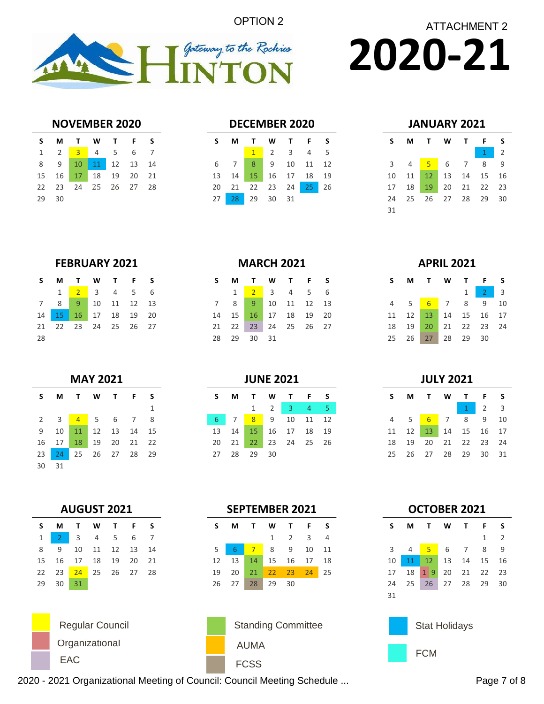OPTION 2



**2020-21** ATTACHMENT 2

### **NOVEMBER 2020**

| S     | MTWTFS                     |  |  |
|-------|----------------------------|--|--|
|       | 1 2 3 4 5 6 7              |  |  |
|       | 8 9 10 11 12 13 14         |  |  |
|       | 15  16  17  18  19  20  21 |  |  |
|       | 22 23 24 25 26 27 28       |  |  |
| 29 30 |                            |  |  |

### **DECEMBER 2020**

|                |  | S M T W T F S              |  |
|----------------|--|----------------------------|--|
|                |  | $1 \t2 \t3 \t4 \t5$        |  |
|                |  | 6 7 8 9 10 11 12           |  |
|                |  | 13  14  15  16  17  18  19 |  |
|                |  | 20 21 22 23 24 25 26       |  |
| 27 28 29 30 31 |  |                            |  |

| JANUARY 2021 |  |
|--------------|--|
|--------------|--|

| s              | М              | $\mathbf{T}$ | <b>W</b>   | T              | F              | S            |
|----------------|----------------|--------------|------------|----------------|----------------|--------------|
|                |                |              |            |                | $\overline{1}$ | 2            |
| 3 <sup>7</sup> | $\overline{4}$ | $-5$         | 6          | $\overline{7}$ | 8              | $\mathsf{q}$ |
| 10             | 11             | 12           | $\vert$ 13 | 14 15          |                | 16           |
| 17             | 18             | 19           |            |                | 20 21 22       | 23           |
| 24             | - 25           | 26 27 28 29  |            |                |                | 30           |
| 31             |                |              |            |                |                |              |

### **FEBRUARY 2021**

| S.  |              | M T W T F S                      |  |  |
|-----|--------------|----------------------------------|--|--|
|     | $\mathbf{1}$ | 2 3 4 5 6                        |  |  |
|     |              | 7 8 9 10 11 12 13                |  |  |
|     |              | 14   15   16   17   18   19   20 |  |  |
|     |              | 21  22  23  24  25  26  27       |  |  |
| -28 |              |                                  |  |  |

| <b>MAY 2021</b> |    |                |      |              |                |    |  |  |  |
|-----------------|----|----------------|------|--------------|----------------|----|--|--|--|
| S               | м  | $\mathbf{T}$   | W    | $\mathbf{T}$ | F              | s  |  |  |  |
|                 |    |                |      |              |                | 1  |  |  |  |
| 2               | -3 | $\overline{4}$ | $-5$ | 6            | $\overline{7}$ | 8  |  |  |  |
| 9               | 10 | 11             | 12   | 13           | 14             | 15 |  |  |  |
| 16              | 17 | 18             | 19   | 20           | 21             | 22 |  |  |  |
| 23              | 24 | 25             |      | 26 27 28     |                | 29 |  |  |  |
| 30              | 31 |                |      |              |                |    |  |  |  |

|  |  | <b>MARCH 2021</b> |  |  |
|--|--|-------------------|--|--|
|  |  |                   |  |  |

|              | M T W T F S                |  |  |
|--------------|----------------------------|--|--|
| $\mathbf{1}$ | $2$ 3 4 5 6                |  |  |
|              | 7 8 9 10 11 12 13          |  |  |
|              | 14  15  16  17  18  19  20 |  |  |
|              | 21  22  23  24  25  26  27 |  |  |
|              | 28 29 30 31                |  |  |

### **JUNE 2021**

| S. | M | TW TF                      |                                     | <b>S</b> |
|----|---|----------------------------|-------------------------------------|----------|
|    |   |                            | $1 \quad 2 \quad 3 \quad 4 \quad 5$ |          |
|    |   | 6 7 8 9 10 11 12           |                                     |          |
|    |   | 13  14  15  16  17  18  19 |                                     |          |
|    |   | 20 21 22 23 24 25 26       |                                     |          |
|    |   | 27 28 29 30                |                                     |          |

**SEPTEMBER 2021**

**S M T W T F S**

5 <mark>6 7</mark> 8 9 10 11 13 14 15 16 17 18 20 21 22 23 24 25

27 28 29 30

2 3 4

### **APRIL 2021**

|  | S M T W T F S              |  |                     |  |
|--|----------------------------|--|---------------------|--|
|  |                            |  | $1 \quad 2 \quad 3$ |  |
|  | 4 5 6 7 8 9 10             |  |                     |  |
|  | 11  12  13  14  15  16  17 |  |                     |  |
|  | 18  19  20  21  22  23  24 |  |                     |  |
|  | 25  26  27  28  29  30     |  |                     |  |

**JULY 2021**

| S. |  | MTWTFS                     |                     |  |
|----|--|----------------------------|---------------------|--|
|    |  |                            | $1 \quad 2 \quad 3$ |  |
|    |  | 4 5 6 7 8 9 10             |                     |  |
|    |  | 11  12  13  14  15  16  17 |                     |  |
|    |  | 18  19  20  21  22  23  24 |                     |  |
|    |  | 25  26  27  28  29  30  31 |                     |  |

|  | <b>AUGUST 2021</b> |  |  |
|--|--------------------|--|--|
|  |                    |  |  |

|           |          | SMTWTFS                    |  |  |
|-----------|----------|----------------------------|--|--|
| $1 \vert$ |          | 2 3 4 5 6 7                |  |  |
| 8         |          | 9 10 11 12 13 14           |  |  |
|           |          | 15  16  17  18  19  20  21 |  |  |
|           |          | 22 23 24 25 26 27 28       |  |  |
|           | 29 30 31 |                            |  |  |

**Organizational** EAC FCSS







2020 - 2021 Organizational Meeting of Council: Council Meeting Schedule ... Page 7 of 8